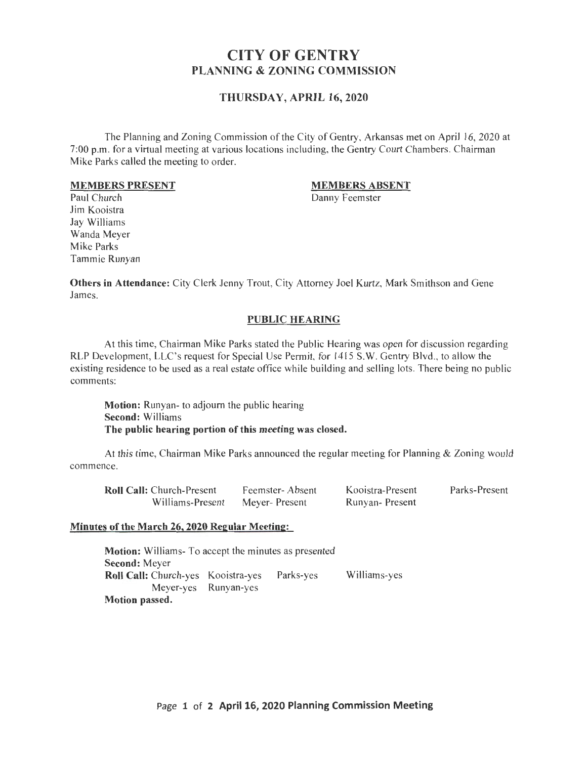# CITY OF GENTRY PLANNING & ZONING COMMISSION

# THURSDAY, APRIL 16, 2020

The Planning and Zoning Commission of the City of Gentry, Arkansas met on April 16, 2020 at 7:00 p.m. for a virtual meeting at various locations including, the Gentry Court Chambers. Chairman Mike Parks called the meeting to order.

#### MEMBERS PRESENT

### MEMBERS ABSENT

Danny Feemster

Paul Church Jim Kooistra Jay Williams Wanda Meyer Mike Parks Tammie Runyan

Others in Attendance: City Clerk Jenny Trout, City Attorney Joel Kurtz, Mark Smithson and Gene James.

### PUBLIC HEARING

At this time, Chairman Mike Parks stated the Public Hearing was open for discussion regarding RLP Development, LLC's request for Special Use Permit, for 1415 S.W. Gentry Blvd., to allow the existing residence to be used as a real estate office while building and selling lots. There being no public comments:

Motion: Runyan- to adjourn the public hearing Second: Williams The public bearing portion of this meeting was closed.

At this time, Chairman Mike Parks announced the regular meeting for Planning & Zoning would commence.

| <b>Roll Call:</b> Church-Present | Feemster-Absent | Kooistra-Present      | Parks-Present |
|----------------------------------|-----------------|-----------------------|---------------|
| Williams-Present                 | Meyer-Present   | <b>Runyan-Present</b> |               |

### Minutes of the March 26, 2020 Regular Meeting:

Motion: Williams- To accept the minutes as presented Second: Meyer Roll Call: Church-yes Kooistra-yes Parks-yes Williams-yes Meyer-yes Runyan-yes Motion passed.